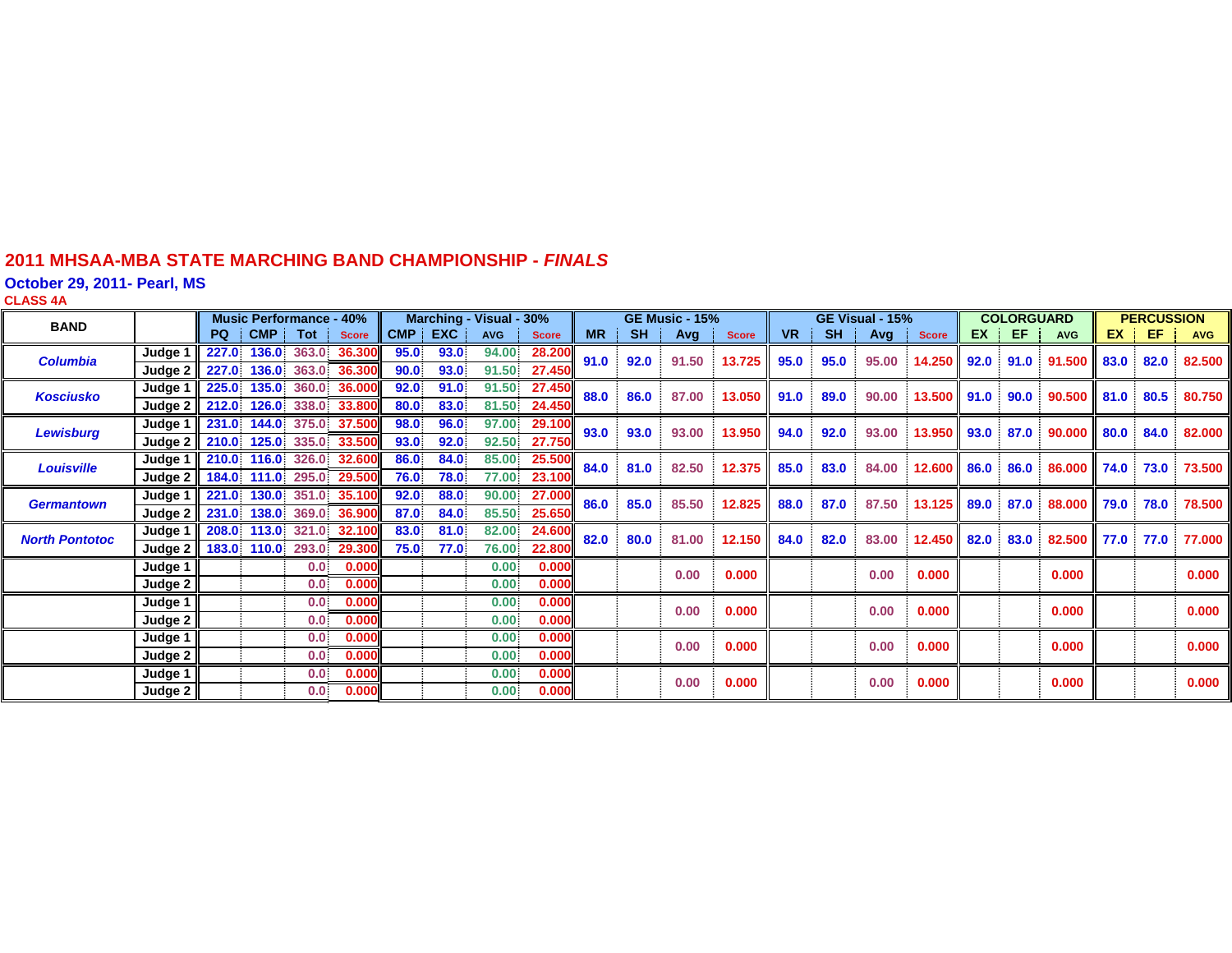#### **2011 MHSAA-MBA STATE MARCHING BAND CHAMPIONSHIP -** *FINAL S*

**October 29, 2011- Pearl, MS**

**CLASS 4 A**

| <b>BAND</b>           |                     |                                  | <b>Music Performance - 40%</b> |        |      |         | Marching - Visual - 30% |              |           |               | <b>GE Music - 15%</b> |              |                |           | GE Visual - 15% |              |           | <b>COLORGUARD</b> |            |      | <b>PERCUSSION</b> |            |
|-----------------------|---------------------|----------------------------------|--------------------------------|--------|------|---------|-------------------------|--------------|-----------|---------------|-----------------------|--------------|----------------|-----------|-----------------|--------------|-----------|-------------------|------------|------|-------------------|------------|
|                       |                     |                                  | PQ   CMP   Tot   Score         |        |      | CMP EXC | <b>AVG</b>              | <b>Score</b> | <b>MR</b> | <b>SH</b>     | $Avg \mid$            | <b>Score</b> | <b>VR</b>      | <b>SH</b> | Avg             | <b>Score</b> | <b>EX</b> | † EF.             | <b>AVG</b> |      | $EX \parallel EF$ | <b>AVG</b> |
| <b>Columbia</b>       | Judge 1             | 227.0 136.0 363.0 36.300         |                                |        | 95.0 | 93.0    | 94.00                   | 28.200       | 91.0      | 92.0          | 91.50                 | 13.725       | 95.0           | 95.0      | 95.00           | 14.250       | 92.0      | 91.0              | 91.500     | 83.0 | 82.0              | 82.500     |
|                       | Judge 2             | 227.0 136.0 363.0 36.300         |                                |        | 90.0 | 93.0    | 91.50                   | 27.450       |           |               |                       |              |                |           |                 |              |           |                   |            |      |                   |            |
| <b>Kosciusko</b>      | Judge 1             | 225.0                            | 135.0<br>360.0                 | 36.000 | 92.0 | 91.0    | 91.50                   | 27.450       | 88.0      | 86.0<br>87.00 |                       | 13.050       | 91.0           | 89.0      | 90.00           | 13.500       | 91.0      | 90.0              | 90.500     | 81.0 | 80.5              | 80.750     |
|                       | Judge 2             | 212.0 126.0 338.0 33.800         |                                |        | 80.0 | 83.0    | 81.50                   | 24.450       |           |               |                       |              |                |           |                 |              |           |                   |            |      |                   |            |
| <b>Lewisburg</b>      | Judge 1             | 231.0 144.0 375.0 37.500         |                                |        | 98.0 | 96.0    | 97.00                   | 29.100       | 93.0      | 93.0          | 93.00                 |              | 13.950<br>94.0 | 92.0      | 93.00           | 13.950       | 93.0      | 87.0              | 90.000     | 80.0 | 84.0              | 82.000     |
|                       |                     | Judge 2 210.0 125.0 335.0 33.500 |                                |        | 93.0 | 92.0    | 92.50                   | 27.750       |           |               |                       |              |                |           |                 |              |           |                   |            |      |                   |            |
| <b>Louisville</b>     | Judge 1             | 210.0 116.0 326.0 32.600         |                                |        | 86.0 | 84.0    | 85.00                   | 25.500       | 84.0      | 81.0          | 82.50                 | 12.375       | 85.0           | 83.0      | 84.00           | 12.600 86.0  |           | 86.0              | 86.000     | 74.0 | 73.0              | 73.500     |
|                       | Judge $2$           | 184.0 111.0 295.0 29.500         |                                |        | 76.0 | 78.0    | 77.00                   | 23.100       |           |               |                       |              |                |           |                 |              |           |                   |            |      |                   |            |
| <b>Germantown</b>     | Judge 1             | 221.0 130.0 351.0 35.100         |                                |        | 92.0 | 88.0    | 90.00                   | 27.000       | 86.0      | 85.0          | 85.50                 | 12.825       | 88.0           | 87.0      | 87.50           | 13.125       | 89.0      | 87.0              | 88.000     | 79.0 | 78.0              | 78.500     |
|                       | Judge 2             | 231.0 138.0 369.0 36.900         |                                |        | 87.0 | 84.0    | 85.50                   | 25.650       |           |               |                       |              |                |           |                 |              |           |                   |            |      |                   |            |
| <b>North Pontotoc</b> | Judge 1             | 208.0 113.0 321.0 32.100         |                                |        | 83.0 | 81.0    | 82.00                   | 24.600       | 82.0      | 80.0          | 81.00                 | 12.150       | 84.0           | 82.0      | 83.00           | 12.450       | 82.0      | 83.0              | 82.500     | 77.0 | 77.0              | 77.000     |
|                       | Judge $2 \parallel$ | 183.0 110.0 293.0 29.300         |                                |        | 75.0 | 77.0    | 76.00                   | 22.800       |           |               |                       |              |                |           |                 |              |           |                   |            |      |                   |            |
|                       | Judge 1             |                                  | 0.0                            | 0.000  |      |         | 0.00                    | 0.000        |           |               | 0.00                  | 0.000        |                |           | 0.00            | 0.000        |           |                   | 0.000      |      |                   | 0.000      |
|                       | Judge 2             |                                  | 0.0                            | 0.000  |      |         | 0.00                    | 0.000        |           |               |                       |              |                |           |                 |              |           |                   |            |      |                   |            |
|                       | Judge 1             |                                  | 0.0 <sub>1</sub>               | 0.000  |      |         | 0.00                    | 0.000        |           |               | 0.00                  | 0.000        |                |           | 0.00            | 0.000        |           |                   | 0.000      |      |                   | 0.000      |
|                       | Judge 2             |                                  | 0.0                            | 0.000  |      |         | 0.00                    | 0.000        |           |               |                       |              |                |           |                 |              |           |                   |            |      |                   |            |
|                       | Judge 1             |                                  | 0.0                            | 0.000  |      |         | 0.00                    | 0.000        |           |               | 0.00                  | 0.000        |                |           | 0.00            | 0.000        |           |                   | 0.000      |      |                   | 0.000      |
|                       | Judge 2             |                                  | 0.0                            | 0.000  |      |         | 0.00                    | 0.000        |           |               |                       |              |                |           |                 |              |           |                   |            |      |                   |            |
|                       | Judge 1             |                                  | 0.0                            | 0.000  |      |         | 0.00                    | 0.000        |           |               | 0.00                  | 0.000        |                |           | 0.00            | 0.000        |           |                   | 0.000      |      |                   | 0.000      |
|                       | Judge 2             |                                  | 0.0                            | 0.000  |      |         | 0.00                    | 0.000        |           |               |                       |              |                |           |                 |              |           |                   |            |      |                   |            |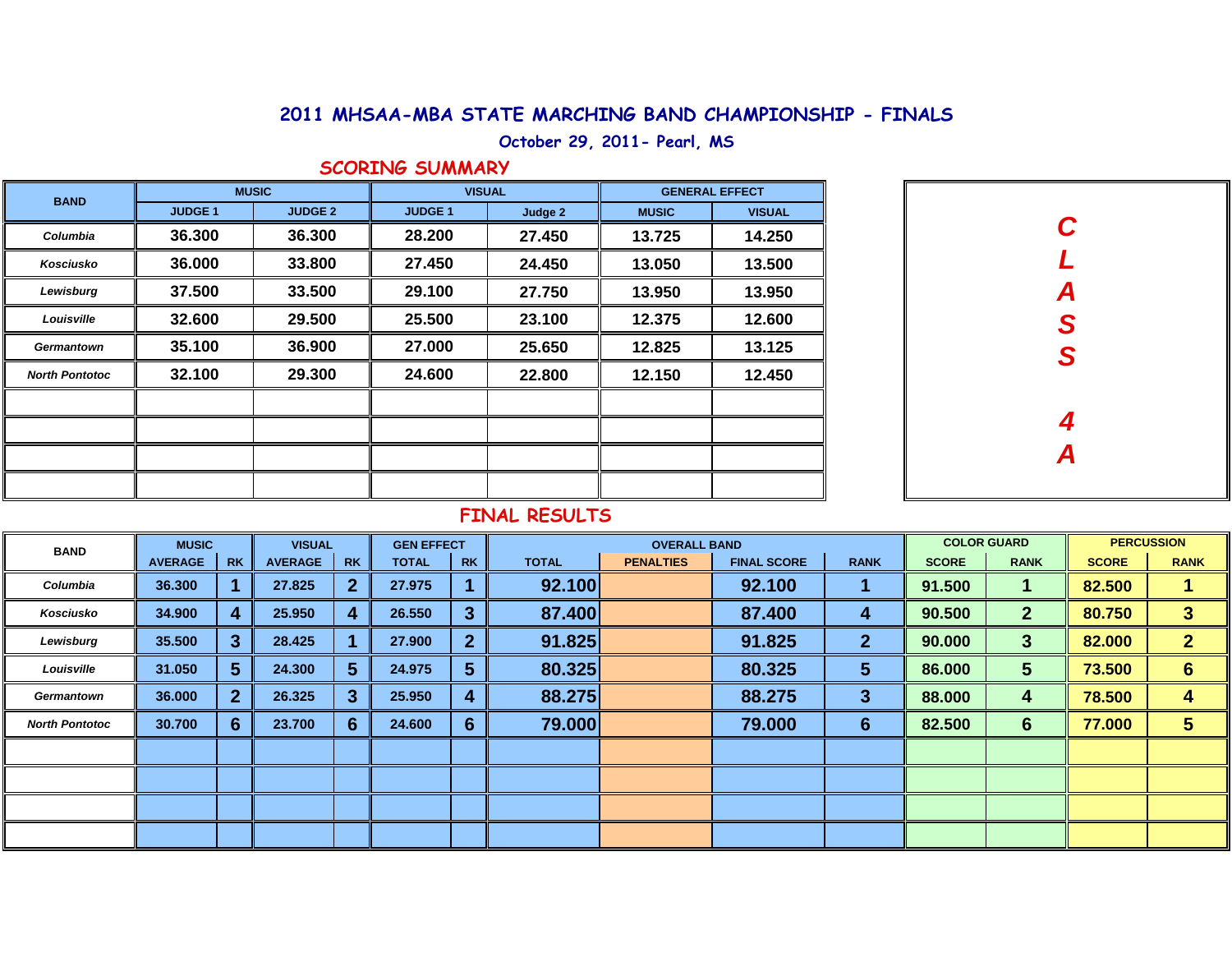### 2011 MHSAA-MBA STATE MARCHING BAND CHAMPIONSHIP - FINALS

**October 29, 2011- Pearl, MS**

#### **SCORING SUMMARY**

| <b>BAND</b>           |               | <b>MUSIC</b>   | <b>VISUAL</b>  |         | <b>GENERAL EFFECT</b> |               |  |  |
|-----------------------|---------------|----------------|----------------|---------|-----------------------|---------------|--|--|
|                       | <b>JUDGE1</b> | <b>JUDGE 2</b> | <b>JUDGE 1</b> | Judge 2 | <b>MUSIC</b>          | <b>VISUAL</b> |  |  |
| Columbia              | 36.300        | 36.300         | 28.200         | 27.450  | 13.725                | 14.250        |  |  |
| Kosciusko             | 36.000        | 33.800         | 27.450         | 24.450  | 13.050                | 13.500        |  |  |
| Lewisburg             | 37.500        | 33.500         | 29.100         | 27.750  | 13.950                | 13.950        |  |  |
| Louisville            | 32.600        | 29.500         | 25.500         | 23.100  | 12.375                | 12.600        |  |  |
| Germantown            | 35.100        | 36.900         | 27.000         | 25.650  | 12.825                | 13.125        |  |  |
| <b>North Pontotoc</b> | 32.100        | 29.300         | 24.600         | 22.800  | 12.150                | 12.450        |  |  |
|                       |               |                |                |         |                       |               |  |  |
|                       |               |                |                |         |                       |               |  |  |
|                       |               |                |                |         |                       |               |  |  |
|                       |               |                |                |         |                       |               |  |  |

| C<br>L        |
|---------------|
|               |
| A<br>S<br>S   |
|               |
|               |
|               |
| $\frac{4}{A}$ |
|               |

#### **FINAL RESULTS**

| <b>BAND</b>           | <b>MUSIC</b>   |                | <b>VISUAL</b>  |           | <b>GEN EFFECT</b> |                  |              |                  | <b>COLOR GUARD</b> |              | <b>PERCUSSION</b> |                 |              |                |
|-----------------------|----------------|----------------|----------------|-----------|-------------------|------------------|--------------|------------------|--------------------|--------------|-------------------|-----------------|--------------|----------------|
|                       | <b>AVERAGE</b> | <b>RK</b>      | <b>AVERAGE</b> | <b>RK</b> | <b>TOTAL</b>      | <b>RK</b>        | <b>TOTAL</b> | <b>PENALTIES</b> | <b>FINAL SCORE</b> | <b>RANK</b>  | <b>SCORE</b>      | <b>RANK</b>     | <b>SCORE</b> | <b>RANK</b>    |
| Columbia              | 36.300         |                | 27.825         |           | 27.975            |                  | 92.100       |                  | 92.100             |              | 91.500            |                 | 82.500       |                |
| Kosciusko             | 34.900         | 4              | 25.950         |           | 26.550            | $\overline{3}$   | 87.400       |                  | 87.400             | 4            | 90.500            | $\mathbf{2}$    | 80.750       | 3              |
| Lewisburg             | 35.500         | 3              | 28.425         |           | 27.900            | $\overline{2}$   | 91.825       |                  | 91.825             | $\mathbf{2}$ | 90.000            | 3               | 82.000       | $\overline{2}$ |
| Louisville            | 31.050         | 5              | 24.300         | 5.        | 24.975            | 5                | 80.325       |                  | 80.325             | 5            | 86.000            | 5               | 73.500       | $6 \,$         |
| Germantown            | 36.000         | 2 <sup>1</sup> | 26.325         | 3         | 25.950            | $\boldsymbol{4}$ | 88.275       |                  | 88.275             | $\mathbf{3}$ | 88.000            | 4               | 78.500       | 4              |
| <b>North Pontotoc</b> | 30.700         | 6              | 23.700         | 6.        | 24.600            | $6\phantom{1}6$  | 79.000       |                  | 79.000             | 6            | 82.500            | $6\phantom{1}6$ | 77.000       | 5              |
|                       |                |                |                |           |                   |                  |              |                  |                    |              |                   |                 |              |                |
|                       |                |                |                |           |                   |                  |              |                  |                    |              |                   |                 |              |                |
|                       |                |                |                |           |                   |                  |              |                  |                    |              |                   |                 |              |                |
|                       |                |                |                |           |                   |                  |              |                  |                    |              |                   |                 |              |                |